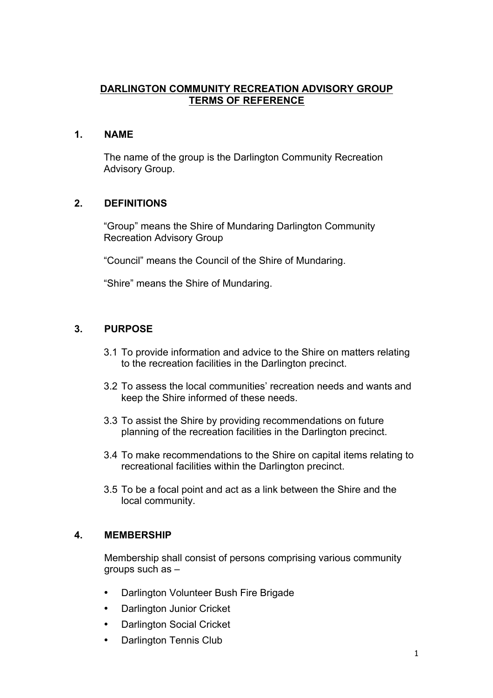## **DARLINGTON COMMUNITY RECREATION ADVISORY GROUP TERMS OF REFERENCE**

## **1. NAME**

The name of the group is the Darlington Community Recreation Advisory Group.

# **2. DEFINITIONS**

"Group" means the Shire of Mundaring Darlington Community Recreation Advisory Group

"Council" means the Council of the Shire of Mundaring.

"Shire" means the Shire of Mundaring.

# **3. PURPOSE**

- 3.1 To provide information and advice to the Shire on matters relating to the recreation facilities in the Darlington precinct.
- 3.2 To assess the local communities' recreation needs and wants and keep the Shire informed of these needs.
- 3.3 To assist the Shire by providing recommendations on future planning of the recreation facilities in the Darlington precinct.
- 3.4 To make recommendations to the Shire on capital items relating to recreational facilities within the Darlington precinct.
- 3.5 To be a focal point and act as a link between the Shire and the local community.

#### **4. MEMBERSHIP**

Membership shall consist of persons comprising various community groups such as –

- Darlington Volunteer Bush Fire Brigade
- Darlington Junior Cricket
- Darlington Social Cricket
- Darlington Tennis Club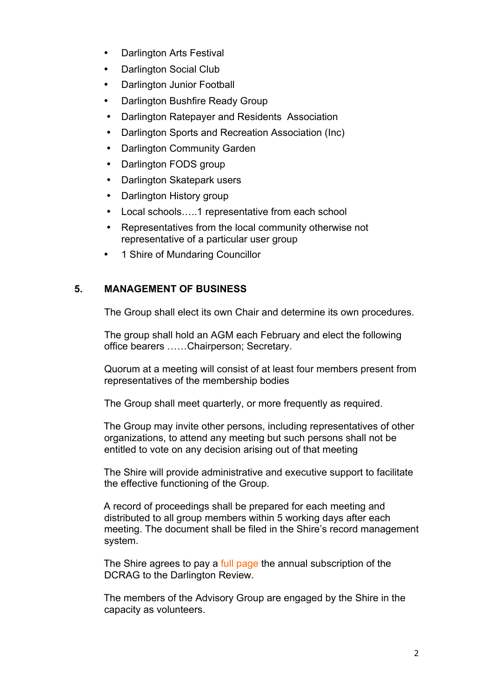- Darlington Arts Festival
- Darlington Social Club
- Darlington Junior Football
- Darlington Bushfire Ready Group
- Darlington Ratepayer and Residents Association
- Darlington Sports and Recreation Association (Inc)
- Darlington Community Garden
- Darlington FODS group
- Darlington Skatepark users
- Darlington History group
- Local schools…..1 representative from each school
- Representatives from the local community otherwise not representative of a particular user group
- 1 Shire of Mundaring Councillor

### **5. MANAGEMENT OF BUSINESS**

The Group shall elect its own Chair and determine its own procedures.

The group shall hold an AGM each February and elect the following office bearers ……Chairperson; Secretary.

Quorum at a meeting will consist of at least four members present from representatives of the membership bodies

The Group shall meet quarterly, or more frequently as required.

The Group may invite other persons, including representatives of other organizations, to attend any meeting but such persons shall not be entitled to vote on any decision arising out of that meeting

The Shire will provide administrative and executive support to facilitate the effective functioning of the Group.

A record of proceedings shall be prepared for each meeting and distributed to all group members within 5 working days after each meeting. The document shall be filed in the Shire's record management system.

The Shire agrees to pay a full page the annual subscription of the DCRAG to the Darlington Review.

The members of the Advisory Group are engaged by the Shire in the capacity as volunteers.